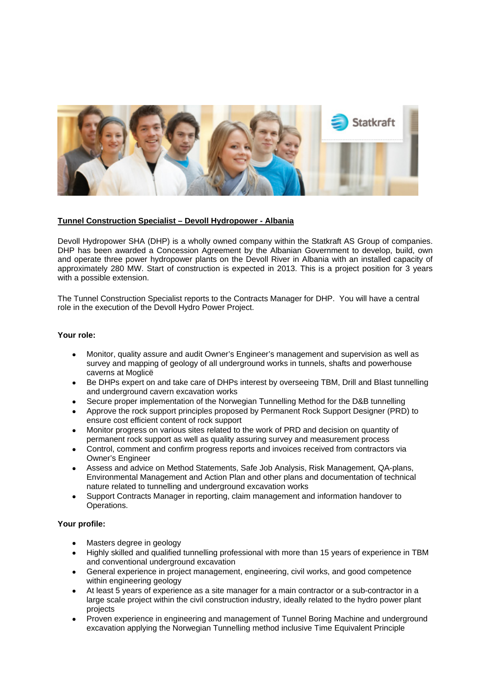

### **Tunnel Construction Specialist – Devoll Hydropower - Albania**

Devoll Hydropower SHA (DHP) is a wholly owned company within the Statkraft AS Group of companies. DHP has been awarded a Concession Agreement by the Albanian Government to develop, build, own and operate three power hydropower plants on the Devoll River in Albania with an installed capacity of approximately 280 MW. Start of construction is expected in 2013. This is a project position for 3 years with a possible extension.

The Tunnel Construction Specialist reports to the Contracts Manager for DHP. You will have a central role in the execution of the Devoll Hydro Power Project.

### **Your role:**

- Monitor, quality assure and audit Owner's Engineer's management and supervision as well as survey and mapping of geology of all underground works in tunnels, shafts and powerhouse caverns at Moglicë
- Be DHPs expert on and take care of DHPs interest by overseeing TBM, Drill and Blast tunnelling and underground cavern excavation works
- Secure proper implementation of the Norwegian Tunnelling Method for the D&B tunnelling
- Approve the rock support principles proposed by Permanent Rock Support Designer (PRD) to ensure cost efficient content of rock support
- Monitor progress on various sites related to the work of PRD and decision on quantity of permanent rock support as well as quality assuring survey and measurement process
- Control, comment and confirm progress reports and invoices received from contractors via Owner's Engineer
- Assess and advice on Method Statements, Safe Job Analysis, Risk Management, QA-plans, Environmental Management and Action Plan and other plans and documentation of technical nature related to tunnelling and underground excavation works
- Support Contracts Manager in reporting, claim management and information handover to Operations.

## **Your profile:**

- Masters degree in geology
- Highly skilled and qualified tunnelling professional with more than 15 years of experience in TBM and conventional underground excavation
- General experience in project management, engineering, civil works, and good competence within engineering geology
- At least 5 years of experience as a site manager for a main contractor or a sub-contractor in a large scale project within the civil construction industry, ideally related to the hydro power plant projects
- Proven experience in engineering and management of Tunnel Boring Machine and underground excavation applying the Norwegian Tunnelling method inclusive Time Equivalent Principle